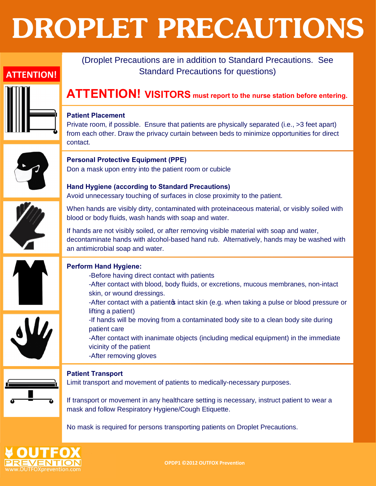# **DROPLET PRECAUTIONS**

## Standard Precautions for questions) **Patient Placement** contact. **Personal Protective Equipment (PPE)** Don a mask upon entry into the patient room or cubicle **Hand Hygiene (according to Standard Precautions)** blood or body fluids, wash hands with soap and water. an antimicrobial soap and water. **Perform Hand Hygiene:** -Before having direct contact with patients skin, or wound dressings. lifting a patient) patient care vicinity of the patient -After removing gloves **Patient Transport** mask and follow Respiratory Hygiene/Cough Etiquette. **ATTENTION!**

### **ATTENTION! VISITORS must report to the nurse station before entering.**

(Droplet Precautions are in addition to Standard Precautions. See

Private room, if possible. Ensure that patients are physically separated (i.e., >3 feet apart) from each other. Draw the privacy curtain between beds to minimize opportunities for direct



## Avoid unnecessary touching of surfaces in close proximity to the patient.

When hands are visibly dirty, contaminated with proteinaceous material, or visibly soiled with

If hands are not visibly soiled, or after removing visible material with soap and water, decontaminate hands with alcohol-based hand rub. Alternatively, hands may be washed with



- -After contact with blood, body fluids, or excretions, mucous membranes, non-intact
- -After contact with a patient to intact skin (e.g. when taking a pulse or blood pressure or
- -If hands will be moving from a contaminated body site to a clean body site during
- -After contact with inanimate objects (including medical equipment) in the immediate

Limit transport and movement of patients to medically-necessary purposes.

If transport or movement in any healthcare setting is necessary, instruct patient to wear a

No mask is required for persons transporting patients on Droplet Precautions.